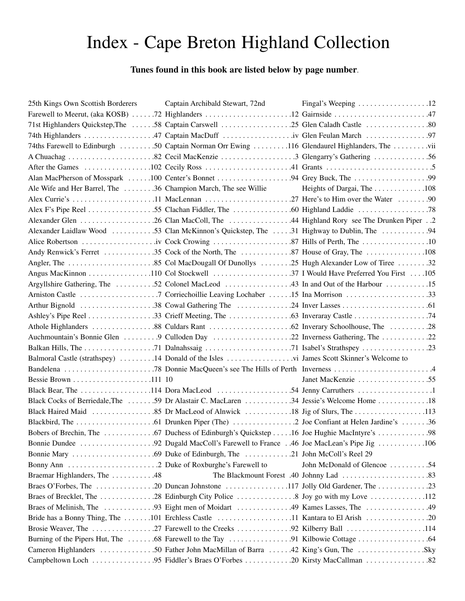## Index - Cape Breton Highland Collection

## **Tunes found in this book are listed below by page number**.

| 25th Kings Own Scottish Borderers | Captain Archibald Stewart, 72nd                                                             |                             |
|-----------------------------------|---------------------------------------------------------------------------------------------|-----------------------------|
|                                   |                                                                                             |                             |
|                                   | 71st Highlanders Quickstep, The 58 Captain Carswell 25 Glen Caladh Castle 80                |                             |
|                                   |                                                                                             |                             |
|                                   | 74ths Farewell to Edinburgh 50 Captain Norman Orr Ewing 116 Glendaurel Highlanders, The vii |                             |
|                                   |                                                                                             |                             |
|                                   |                                                                                             |                             |
|                                   |                                                                                             |                             |
|                                   | Ale Wife and Her Barrel, The 36 Champion March, The see Willie Heights of Dargai, The 108   |                             |
|                                   |                                                                                             |                             |
|                                   |                                                                                             |                             |
|                                   |                                                                                             |                             |
|                                   | Alexander Laidlaw Wood 53 Clan McKinnon's Quickstep, The 31 Highway to Dublin, The 94       |                             |
|                                   |                                                                                             |                             |
|                                   |                                                                                             |                             |
|                                   |                                                                                             |                             |
|                                   |                                                                                             |                             |
|                                   | Argyllshire Gathering, The 52 Colonel MacLeod 43 In and Out of the Harbour 15               |                             |
|                                   |                                                                                             |                             |
|                                   |                                                                                             |                             |
|                                   |                                                                                             |                             |
|                                   |                                                                                             |                             |
|                                   |                                                                                             |                             |
|                                   |                                                                                             |                             |
|                                   |                                                                                             |                             |
|                                   |                                                                                             |                             |
|                                   |                                                                                             | Janet MacKenzie 55          |
|                                   |                                                                                             |                             |
|                                   | Black Cocks of Berriedale, The 59 Dr Alastair C. MacLaren 34 Jessie's Welcome Home 18       |                             |
|                                   |                                                                                             |                             |
|                                   |                                                                                             |                             |
|                                   |                                                                                             |                             |
|                                   |                                                                                             |                             |
|                                   |                                                                                             |                             |
|                                   |                                                                                             | John McDonald of Glencoe 54 |
| Braemar Highlanders, The 48       |                                                                                             |                             |
|                                   |                                                                                             |                             |
|                                   |                                                                                             |                             |
|                                   |                                                                                             |                             |
|                                   | Bride has a Bonny Thing, The 101 Erchless Castle 11 Kantara to El Arish 20                  |                             |
|                                   |                                                                                             |                             |
|                                   |                                                                                             |                             |
|                                   |                                                                                             |                             |
|                                   |                                                                                             |                             |
|                                   |                                                                                             |                             |